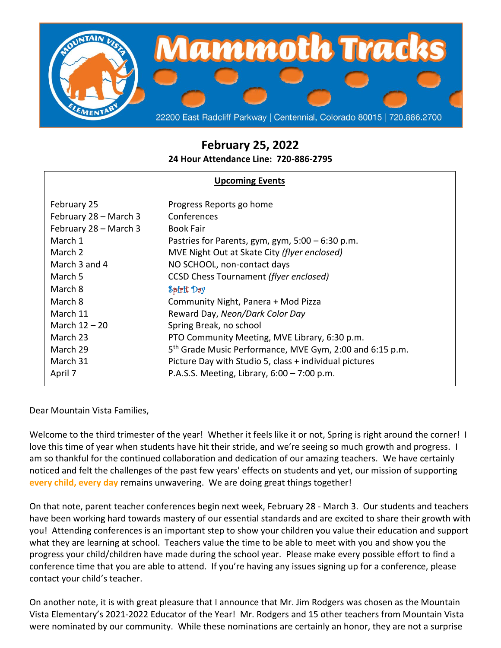

## **February 25, 2022**

**24 Hour Attendance Line: 720-886-2795**

## **Upcoming Events**

| February 25           | Progress Reports go home                                             |
|-----------------------|----------------------------------------------------------------------|
| February 28 – March 3 | Conferences                                                          |
| February 28 - March 3 | <b>Book Fair</b>                                                     |
| March 1               | Pastries for Parents, gym, gym, $5:00 - 6:30$ p.m.                   |
| March 2               | MVE Night Out at Skate City (flyer enclosed)                         |
| March 3 and 4         | NO SCHOOL, non-contact days                                          |
| March 5               | <b>CCSD Chess Tournament (flyer enclosed)</b>                        |
| March 8               | Spirit Day                                                           |
| March 8               | Community Night, Panera + Mod Pizza                                  |
| March 11              | Reward Day, Neon/Dark Color Day                                      |
| March $12 - 20$       | Spring Break, no school                                              |
| March 23              | PTO Community Meeting, MVE Library, 6:30 p.m.                        |
| March 29              | 5 <sup>th</sup> Grade Music Performance, MVE Gym, 2:00 and 6:15 p.m. |
| March 31              | Picture Day with Studio 5, class + individual pictures               |
| April 7               | P.A.S.S. Meeting, Library, $6:00 - 7:00$ p.m.                        |

Dear Mountain Vista Families,

Welcome to the third trimester of the year! Whether it feels like it or not, Spring is right around the corner! I love this time of year when students have hit their stride, and we're seeing so much growth and progress. I am so thankful for the continued collaboration and dedication of our amazing teachers. We have certainly noticed and felt the challenges of the past few years' effects on students and yet, our mission of supporting **every child, every day** remains unwavering. We are doing great things together!

On that note, parent teacher conferences begin next week, February 28 - March 3. Our students and teachers have been working hard towards mastery of our essential standards and are excited to share their growth with you! Attending conferences is an important step to show your children you value their education and support what they are learning at school. Teachers value the time to be able to meet with you and show you the progress your child/children have made during the school year. Please make every possible effort to find a conference time that you are able to attend. If you're having any issues signing up for a conference, please contact your child's teacher.

On another note, it is with great pleasure that I announce that Mr. Jim Rodgers was chosen as the Mountain Vista Elementary's 2021-2022 Educator of the Year! Mr. Rodgers and 15 other teachers from Mountain Vista were nominated by our community. While these nominations are certainly an honor, they are not a surprise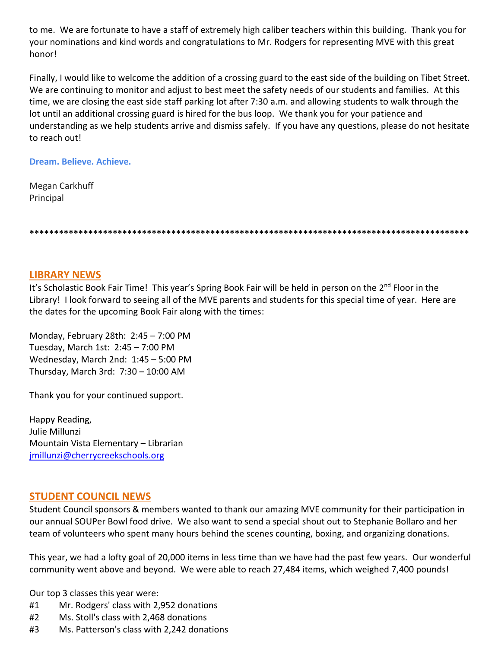to me. We are fortunate to have a staff of extremely high caliber teachers within this building. Thank you for your nominations and kind words and congratulations to Mr. Rodgers for representing MVE with this great honor!

Finally, I would like to welcome the addition of a crossing guard to the east side of the building on Tibet Street. We are continuing to monitor and adjust to best meet the safety needs of our students and families. At this time, we are closing the east side staff parking lot after 7:30 a.m. and allowing students to walk through the lot until an additional crossing guard is hired for the bus loop. We thank you for your patience and understanding as we help students arrive and dismiss safely. If you have any questions, please do not hesitate to reach out!

### **Dream. Believe. Achieve.**

Megan Carkhuff Principal

**\*\*\*\*\*\*\*\*\*\*\*\*\*\*\*\*\*\*\*\*\*\*\*\*\*\*\*\*\*\*\*\*\*\*\*\*\*\*\*\*\*\*\*\*\*\*\*\*\*\*\*\*\*\*\*\*\*\*\*\*\*\*\*\*\*\*\*\*\*\*\*\*\*\*\*\*\*\*\*\*\*\*\*\*\*\*\*\*\*\***

## **LIBRARY NEWS**

It's Scholastic Book Fair Time! This year's Spring Book Fair will be held in person on the 2<sup>nd</sup> Floor in the Library! I look forward to seeing all of the MVE parents and students for this special time of year. Here are the dates for the upcoming Book Fair along with the times:

Monday, February 28th: 2:45 – 7:00 PM Tuesday, March 1st: 2:45 – 7:00 PM Wednesday, March 2nd: 1:45 – 5:00 PM Thursday, March 3rd: 7:30 – 10:00 AM

Thank you for your continued support.

Happy Reading, Julie Millunzi Mountain Vista Elementary – Librarian [jmillunzi@cherrycreekschools.org](mailto:jmillunzi@cherrycreekschools.org)

## **STUDENT COUNCIL NEWS**

Student Council sponsors & members wanted to thank our amazing MVE community for their participation in our annual SOUPer Bowl food drive. We also want to send a special shout out to Stephanie Bollaro and her team of volunteers who spent many hours behind the scenes counting, boxing, and organizing donations.

This year, we had a lofty goal of 20,000 items in less time than we have had the past few years. Our wonderful community went above and beyond. We were able to reach 27,484 items, which weighed 7,400 pounds!

Our top 3 classes this year were:

- #1 Mr. Rodgers' class with 2,952 donations
- #2 Ms. Stoll's class with 2,468 donations
- #3 Ms. Patterson's class with 2,242 donations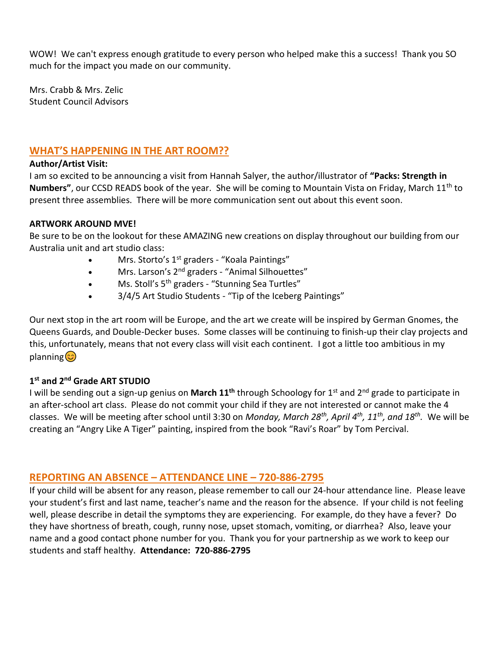WOW! We can't express enough gratitude to every person who helped make this a success! Thank you SO much for the impact you made on our community.

Mrs. Crabb & Mrs. Zelic Student Council Advisors

## **WHAT'S HAPPENING IN THE ART ROOM??**

### **Author/Artist Visit:**

I am so excited to be announcing a visit from Hannah Salyer, the author/illustrator of **"Packs: Strength in Numbers"**, our CCSD READS book of the year. She will be coming to Mountain Vista on Friday, March 11th to present three assemblies. There will be more communication sent out about this event soon.

### **ARTWORK AROUND MVE!**

Be sure to be on the lookout for these AMAZING new creations on display throughout our building from our Australia unit and art studio class:

- Mrs. Storto's 1<sup>st</sup> graders "Koala Paintings"
- Mrs. Larson's 2<sup>nd</sup> graders "Animal Silhouettes"
- Ms. Stoll's 5<sup>th</sup> graders "Stunning Sea Turtles"
- 3/4/5 Art Studio Students "Tip of the Iceberg Paintings"

Our next stop in the art room will be Europe, and the art we create will be inspired by German Gnomes, the Queens Guards, and Double-Decker buses. Some classes will be continuing to finish-up their clay projects and this, unfortunately, means that not every class will visit each continent. I got a little too ambitious in my planning(c)

## **1 st and 2nd Grade ART STUDIO**

I will be sending out a sign-up genius on **March 11th** through Schoology for 1st and 2nd grade to participate in an after-school art class. Please do not commit your child if they are not interested or cannot make the 4 classes. We will be meeting after school until 3:30 on *Monday, March 28th, April 4th, 11th, and 18th .* We will be creating an "Angry Like A Tiger" painting, inspired from the book "Ravi's Roar" by Tom Percival.

## **REPORTING AN ABSENCE – ATTENDANCE LINE – 720-886-2795**

If your child will be absent for any reason, please remember to call our 24-hour attendance line. Please leave your student's first and last name, teacher's name and the reason for the absence. If your child is not feeling well, please describe in detail the symptoms they are experiencing. For example, do they have a fever? Do they have shortness of breath, cough, runny nose, upset stomach, vomiting, or diarrhea? Also, leave your name and a good contact phone number for you. Thank you for your partnership as we work to keep our students and staff healthy. **Attendance: 720-886-2795**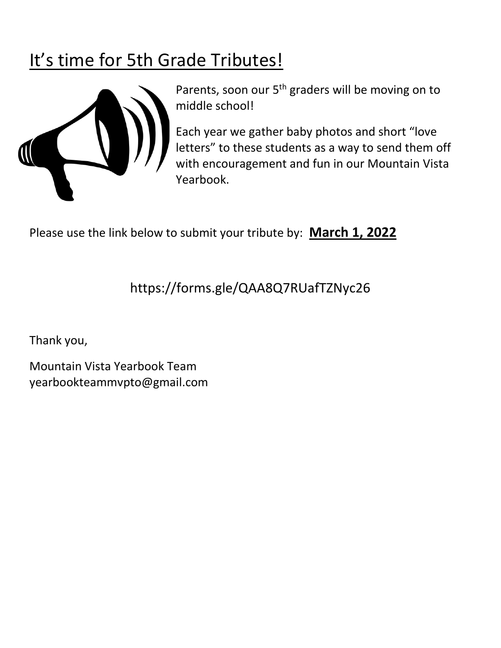# It's time for 5th Grade Tributes!



Parents, soon our 5<sup>th</sup> graders will be moving on to middle school!

Each year we gather baby photos and short "love letters" to these students as a way to send them off with encouragement and fun in our Mountain Vista Yearbook.

## Please use the link below to submit your tribute by: **March 1, 2022**

## https://forms.gle/QAA8Q7RUafTZNyc26

Thank you,

Mountain Vista Yearbook Team yearbookteammvpto@gmail.com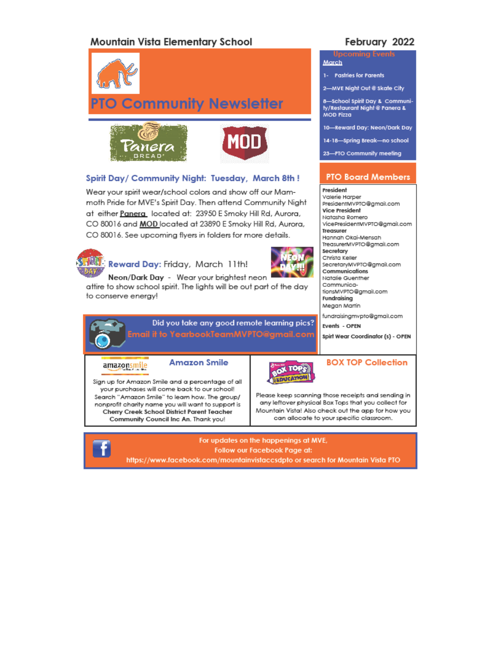## **Mountain Vista Elementary School**

![](_page_4_Picture_1.jpeg)

![](_page_4_Picture_2.jpeg)

![](_page_4_Picture_3.jpeg)

## Spirit Day/ Community Night: Tuesday, March 8th!

Wear your spirit wear/school colors and show off our Mammoth Pride for MVE's Spirit Day. Then attend Community Night at either Panera located at: 23950 E Smoky Hill Rd, Aurora, CO 80016 and MOD located at 23890 E Smoky Hill Rd, Aurora, CO 80016. See upcoming flyers in folders for more details.

![](_page_4_Picture_6.jpeg)

Reward Day: Friday, March 11th!

![](_page_4_Picture_8.jpeg)

Neon/Dark Day - Wear your brightest neon attire to show school spirit. The lights will be out part of the day to conserve energy!

![](_page_4_Picture_10.jpeg)

### amazonsmile

Sign up for Amazon Smile and a percentage of all your purchases will come back to our school!

Search "Amazon Smile" to learn how. The group/

nonprofit charity name you will want to support is

Cherry Creek School District Parent Teacher

Community Council Inc An. Thank you!

**Amazon Smile** 

![](_page_4_Picture_13.jpeg)

Please keep scanning those receipts and sending in any leftover physical Box Tops that you collect for Mountain Vista! Also check out the app for how you can allocate to your specific classroom.

![](_page_4_Picture_15.jpeg)

For updates on the happenings at MVE,

Follow our Facebook Page at:

https://www.facebook.com/mountainvistaccsdpto or search for Mountain Vista PTO

## February 2022

## March

- 
- 1- Pastries for Parents

2-MVE Night Out @ Skate City

8-School Spirit Day & Community/Restaurant Night @ Panera & **MOD Pizza** 

10-Reward Day: Neon/Dark Day

14-18-Spring Break-no school

23-PTO Community meeting

## **PTO Board Members**

![](_page_4_Picture_29.jpeg)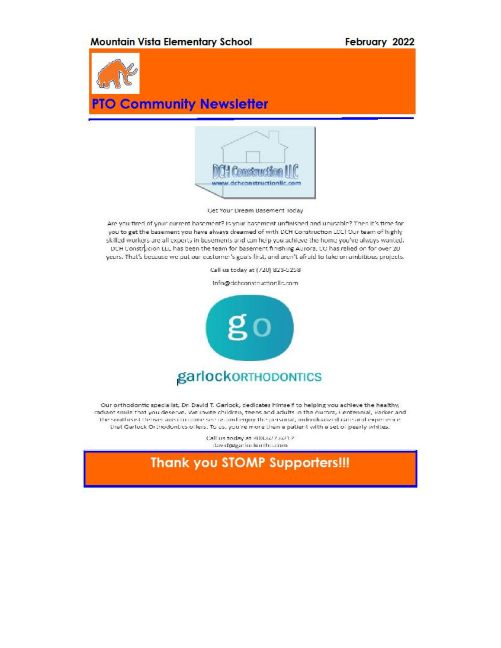![](_page_5_Picture_2.jpeg)

## **PTO Community Newsletter**

![](_page_5_Picture_4.jpeg)

Get Your Dream Basement Today

Are you fired of your current basement? Is your basement unfinished and unusable? Then it's firme for you to get the basement you have always dreamed of with DCH Construction LCC! Our team of highly skilled workers are all experts in basements and can help you achieve the home you've always wanted. DCH Construcion LLC has been the team for basement finishing Aurora, CO has relied on for over 20 years. That's because we put our customer's goals first, and aren't afraid to take on ambitious projects.

Call us today at (720) 823-5258

Info@deheonstructionlic.com

![](_page_5_Picture_9.jpeg)

## garlockoRTHODONTICS

Our orthodontic specialist, Dr. David T. Garlock, dedicates himself to helping you achieve the healthy, radiant smile that you deserve. We invite children, teens and adults in the Aurora, Centennial, Parker and the southeast Denyer area to come see us and enjoy the personal, individualized care and experience that Garlock Orthodontics offers. To us, you're more than a patient with a set of pearly whites.

> Call us today at 303.627.6212 david@garlockorthc.com

**Thank you STOMP Supporters!!!**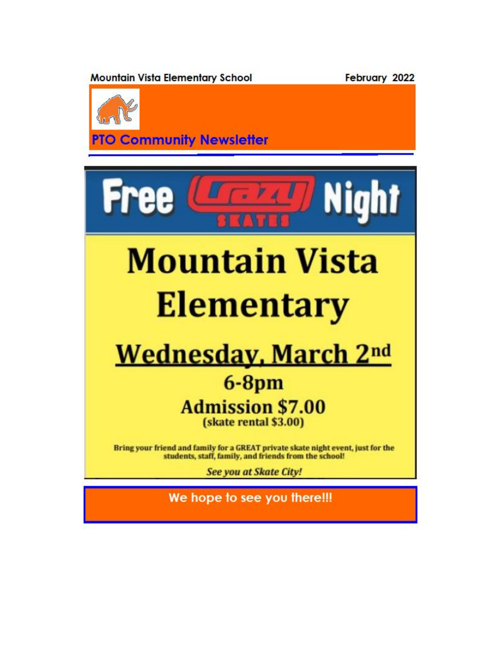![](_page_6_Picture_0.jpeg)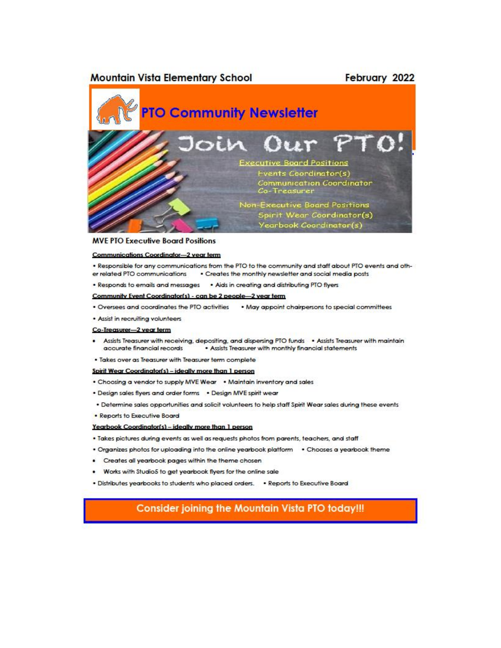### **Mountain Vista Elementary School**

![](_page_7_Picture_1.jpeg)

#### **MVE PTO Executive Board Positions**

#### **Communications Coordinator-2 vear term**

. Responsible for any communications from the PTO to the community and staff about PTO events and other related PTO communications . Creates the monthly newsletter and social media posts

· Responds to emails and messages . Aids in creating and distributing PTO flyers

#### Community Event Coordinator(s) - can be 2 people-2 year term

- . Oversees and coordinates the PTO activities . May appoint chairpersons to special committees
- . Assist in recruiting volunteers

#### Co-Treasurer-2 vear term

- Assists Treasurer with receiving, depositing, and dispersing PTO funds . Assists Treasurer with maintain accurate financial records . Assists Treasurer with monthly financial statements
- . Takes over as Treasurer with Treasurer term complete

#### Spirit Wear Coordinator(s) - ideally more than 1 person

- . Choosing a vendor to supply MVE Wear . Maintain inventory and sales
- . Design sales flyers and order forms . Design MVE spirit wear
- . Determine sales opportunities and solicit volunteers to help staff Spirit Wear sales during these events
- . Reports to Executive Board

#### Yearbook Coordinator(s) - ideally more than 1 person

- . Takes pictures during events as well as requests photos from parents, teachers, and staff
- . Organizes photos for uploading into the online yearbook platform . Chooses a yearbook theme
- . Creates all yearbook pages within the theme chosen
- . Works with Studio5 to get yearbook flyers for the online sale
- . Distributes yearbooks to students who placed orders. . Reports to Executive Board

### **Consider joining the Mountain Vista PTO today!!!**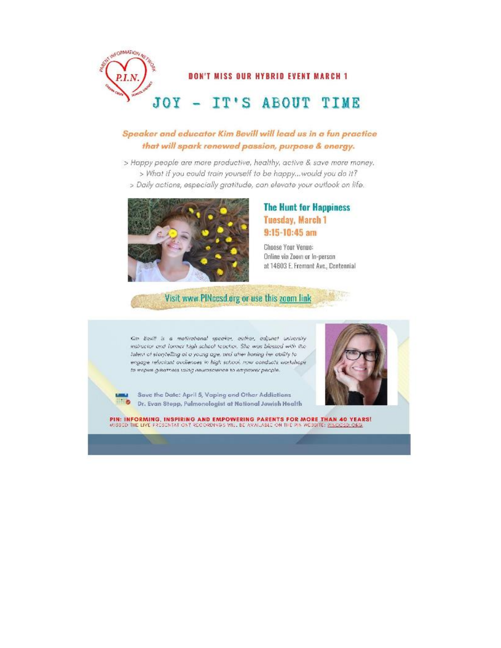![](_page_8_Picture_0.jpeg)

## Speaker and educator Kim Bevill will lead us in a fun practice that will spark renewed passion, purpose & energy.

> Happy people are more productive, healthy, active & save more money. > What if you could train yourself to be happy...would you do it? > Daily actions, especially gratitude, can elevate your outlook on life.

![](_page_8_Picture_3.jpeg)

## **The Hunt for Happiness Tuesday, March 1**  $9:15 - 10:45$  am

Choose Your Venue: Online via Zoom or In-person at 14603 E. Fremont Ave., Centennial

Visit www.PINcesd.org or use this zoom link

Kim Bevill is a motivational speaker, outfror, adjunct university instructor and former high school teacher. She was blessed with the talent of storytelling at a young age, and after honing her ability to engage refuctuat audiences in high school, now conducts workshope. to inspire ginarriess using neuroscience to empower people.

![](_page_8_Picture_8.jpeg)

Save the Date: April 5, Vaping and Other Addictions Dr. Evan Stepp, Pulmonologist at National Jewish Health

![](_page_8_Picture_10.jpeg)

PIN: INFORMING, INSPIRING AND EMPOWERING PARENTS FOR MORE THAN 40 YEARS!<br>WISSED THE LIVE FRESENTATION? RECORDINGS WILL BE AVAILABLE ON THE PIN WEBSITE: PINCOSD ORG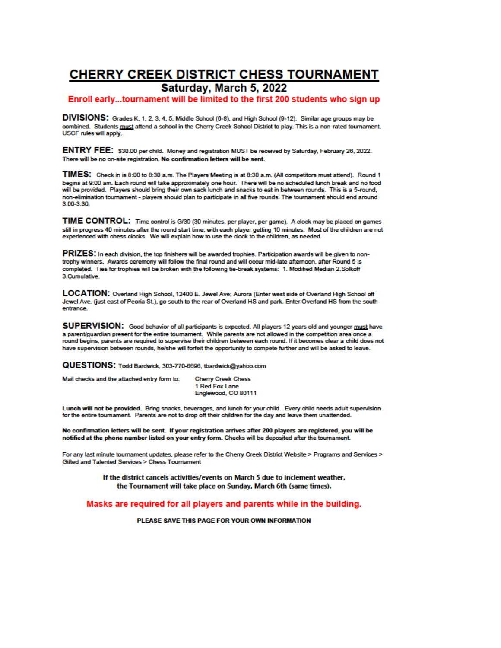## **CHERRY CREEK DISTRICT CHESS TOURNAMENT**

## Saturday, March 5, 2022

#### Enroll early...tournament will be limited to the first 200 students who sign up

DIVISIONS: Grades K, 1, 2, 3, 4, 5, Middle School (6-8), and High School (9-12). Similar age groups may be combined. Students must attend a school in the Cherry Creek School District to play. This is a non-rated tournament. USCF rules will apply.

ENTRY FEE: \$30.00 per child. Money and registration MUST be received by Saturday, February 26, 2022. There will be no on-site registration. No confirmation letters will be sent.

TIMES: Check in is 8:00 to 8:30 a.m. The Players Meeting is at 8:30 a.m. (All competitors must attend). Round 1 begins at 9:00 am. Each round will take approximately one hour. There will be no scheduled lunch break and no food will be provided. Players should bring their own sack lunch and snacks to eat in between rounds. This is a 5-round, non-elimination tournament - players should plan to participate in all five rounds. The tournament should end around 3:00-3:30.

TIME CONTROL: Time control is G/30 (30 minutes, per player, per game). A clock may be placed on games still in progress 40 minutes after the round start time, with each player getting 10 minutes. Most of the children are not experienced with chess clocks. We will explain how to use the clock to the children, as needed.

PRIZES: In each division, the top finishers will be awarded trophies. Participation awards will be given to nontrophy winners. Awards ceremony will follow the final round and will occur mid-late afternoon, after Round 5 is completed. Ties for trophies will be broken with the following tie-break systems: 1. Modified Median 2.Solkoff 3.Cumulative.

LOCATION: Overland High School, 12400 E. Jewel Ave; Aurora (Enter west side of Overland High School off Jewel Ave. (just east of Peoria St.), go south to the rear of Overland HS and park. Enter Overland HS from the south entrance.

SUPERVISION: Good behavior of all participants is expected. All players 12 years old and younger must have a parent/guardian present for the entire tournament. While parents are not allowed in the competition area once a round begins, parents are required to supervise their children between each round. If it becomes clear a child does not have supervision between rounds, he/she will forfeit the opportunity to compete further and will be asked to leave.

QUESTIONS: Todd Bardwick, 303-770-6696, tbardwick@yahoo.com

Mail checks and the attached entry form to:

**Cherry Creek Chess** 1 Red Fox Lane Englewood, CO 80111

Lunch will not be provided. Bring snacks, beverages, and lunch for your child. Every child needs adult supervision for the entire tournament. Parents are not to drop off their children for the day and leave them unattended.

No confirmation letters will be sent. If your registration arrives after 200 players are registered, you will be notified at the phone number listed on your entry form. Checks will be deposited after the tournament.

For any last minute tournament updates, please refer to the Cherry Creek District Website > Programs and Services > Gifted and Talented Services > Chess Tournament

> If the district cancels activities/events on March 5 due to inclement weather, the Tournament will take place on Sunday, March 6th (same times).

Masks are required for all players and parents while in the building.

PLEASE SAVE THIS PAGE FOR YOUR OWN INFORMATION